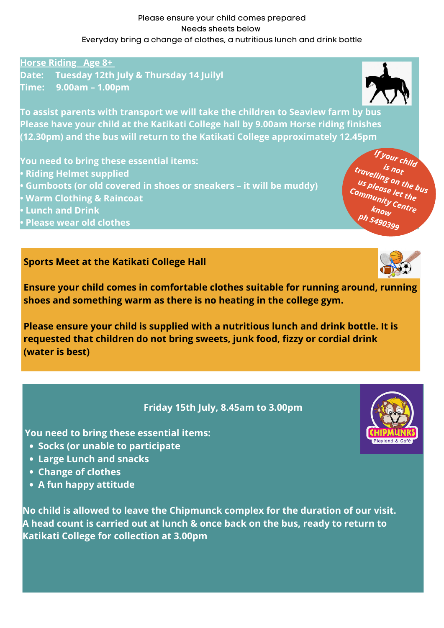**Horse Riding Age 8+ Date: Tuesday 12th July & Thursday 14 Juilyl Time: 9.00am – 1.00pm**



**To assist parents with transport we will take the children to Seaview farm by bus Please have your child at the Katikati College hall by 9.00am Horse riding finishes (12.30pm) and the bus will return to the Katikati College approximately 12.45pm**

**You need to bring these essential items:**

- **• Riding Helmet supplied**
- **• Gumboots (or old covered in shoes or sneakers – it will be muddy)**
- **• Warm Clothing & Raincoat**
- **• Lunch and Drink**
- **• Please wear old clothes**

## **Sports Meet at the Katikati College Hall**



**Ensure your child comes in comfortable clothes suitable for running around, running shoes and something warm as there is no heating in the college gym.**

**Please ensure your child is supplied with a nutritious lunch and drink bottle. It is requested that children do not bring sweets, junk food, fizzy or cordial drink (water is best)**

- **Socks (or unable to participate**
- **Large Lunch and snacks**
- **Change of clothes**
- **A fun happy attitude**

## **Friday 15th July, 8.45am to 3.00pm**

**You need to bring these essential items:**

**No child is allowed to leave the Chipmunck complex for the duration of our visit. A head count is carried out at lunch & once back on the bus, ready to return to Katikati College for collection at 3.00pm**



Please ensure your child comes prepared Needs sheets below Everyday bring a change of clothes, a nutritious lunch and drink bottle